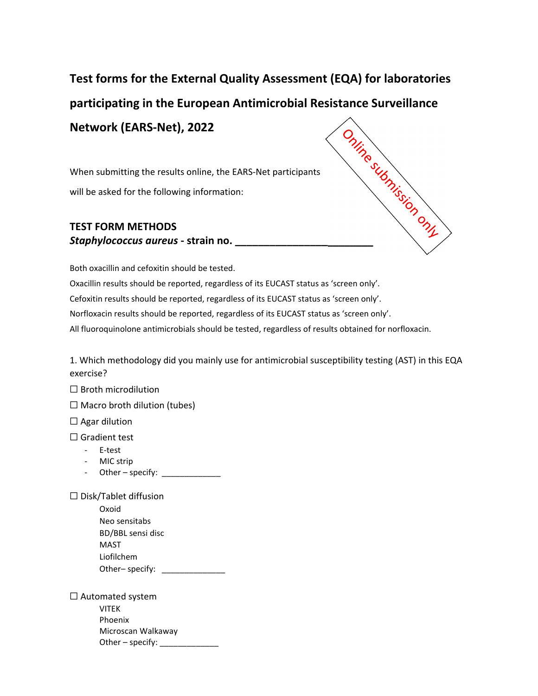## **Test forms for the External Quality Assessment (EQA) for laboratories participating in the European Antimicrobial Resistance Surveillance Network (EARS‐Net), 2022 Network (L.**<br>
When submitting the results online, the EARS-Net put<br>
will be asked for the following information:<br> **TEST FORM METHODS**<br> **Staphylococcus aureus - strain no.**

When submitting the results online, the EARS‐Net participants will be asked for the following information:

## **TEST FORM METHODS**

Both oxacillin and cefoxitin should be tested.

Oxacillin results should be reported, regardless of its EUCAST status as 'screen only'.

Cefoxitin results should be reported, regardless of its EUCAST status as 'screen only'.

Norfloxacin results should be reported, regardless of its EUCAST status as 'screen only'.

All fluoroquinolone antimicrobials should be tested, regardless of results obtained for norfloxacin.

1. Which methodology did you mainly use for antimicrobial susceptibility testing (AST) in this EQA exercise?

 $\Box$  Broth microdilution

 $\Box$  Macro broth dilution (tubes)

 $\Box$  Agar dilution

☐ Gradient test

- ‐ E‐test
- ‐ MIC strip
- Other specify:  $\sqrt{\frac{2}{n}}$

☐ Disk/Tablet diffusion

| Oxoid             |  |
|-------------------|--|
| Neo sensitabs     |  |
| BD/BBL sensi disc |  |
| MAST              |  |
| Liofilchem        |  |
| Other-specify:    |  |

 $\Box$  Automated system VITEK Phoenix Microscan Walkaway Other – specify: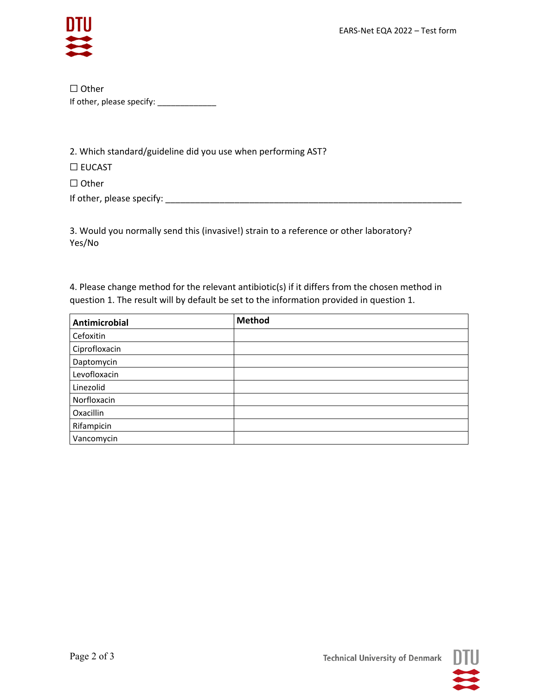

☐ Other If other, please specify: \_\_\_\_\_\_\_\_\_\_\_\_\_\_\_

2. Which standard/guideline did you use when performing AST?

☐ EUCAST

☐ Other

If other, please specify: \_\_\_\_\_\_\_\_\_\_\_\_\_\_\_\_\_\_\_\_\_\_\_\_\_\_\_\_\_\_\_\_\_\_\_\_\_\_\_\_\_\_\_\_\_\_\_\_\_\_\_\_\_\_\_\_\_\_\_\_

3. Would you normally send this (invasive!) strain to a reference or other laboratory? Yes/No

4. Please change method for the relevant antibiotic(s) if it differs from the chosen method in question 1. The result will by default be set to the information provided in question 1.

| <b>Antimicrobial</b> | Method |
|----------------------|--------|
| Cefoxitin            |        |
| Ciprofloxacin        |        |
| Daptomycin           |        |
| Levofloxacin         |        |
| Linezolid            |        |
| Norfloxacin          |        |
| Oxacillin            |        |
| Rifampicin           |        |
| Vancomycin           |        |